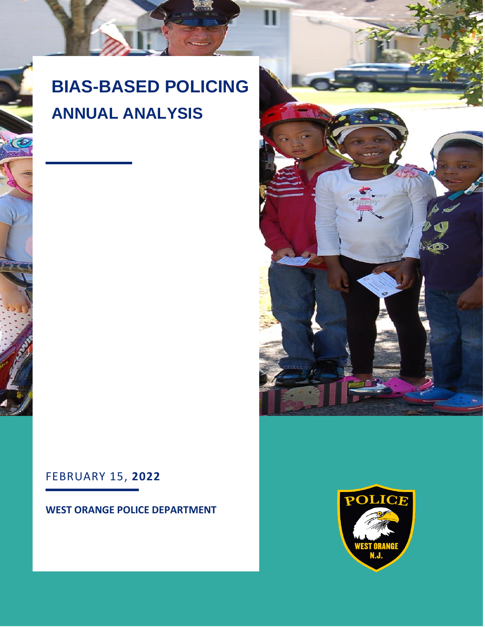# **BIAS-BASED POLICING ANNUAL ANALYSIS**



# **WEST ORANGE POLICE DEPARTMENT**



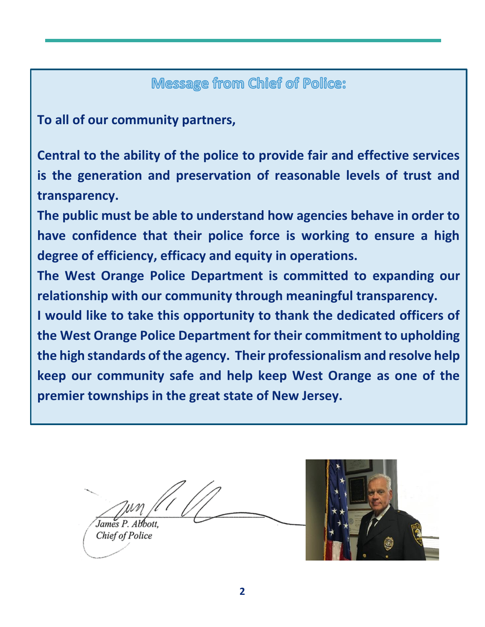# Message from Chief of Police:

**To all of our community partners,**

**Central to the ability of the police to provide fair and effective services is the generation and preservation of reasonable levels of trust and transparency.** 

**The public must be able to understand how agencies behave in order to have confidence that their police force is working to ensure a high degree of efficiency, efficacy and equity in operations.** 

**The West Orange Police Department is committed to expanding our relationship with our community through meaningful transparency.**

**I would like to take this opportunity to thank the dedicated officers of the West Orange Police Department for their commitment to upholding the high standards of the agency. Their professionalism and resolve help keep our community safe and help keep West Orange as one of the premier townships in the great state of New Jersey.**

James P. Abbott.

Chief of Police

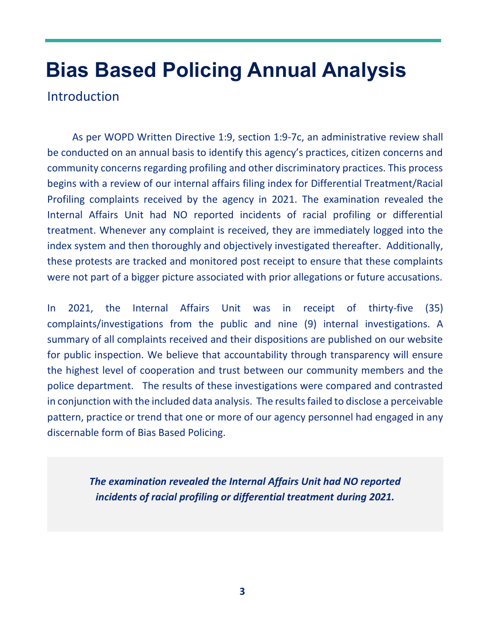# **Bias Based Policing Annual Analysis**

Introduction

 As per WOPD Written Directive 1:9, section 1:9-7c, an administrative review shall be conducted on an annual basis to identify this agency's practices, citizen concerns and community concerns regarding profiling and other discriminatory practices. This process begins with a review of our internal affairs filing index for Differential Treatment/Racial Profiling complaints received by the agency in 2021. The examination revealed the Internal Affairs Unit had NO reported incidents of racial profiling or differential treatment. Whenever any complaint is received, they are immediately logged into the index system and then thoroughly and objectively investigated thereafter. Additionally, these protests are tracked and monitored post receipt to ensure that these complaints were not part of a bigger picture associated with prior allegations or future accusations.

In 2021, the Internal Affairs Unit was in receipt of thirty-five (35) complaints/investigations from the public and nine (9) internal investigations. A summary of all complaints received and their dispositions are published on our website for public inspection. We believe that accountability through transparency will ensure the highest level of cooperation and trust between our community members and the police department. The results of these investigations were compared and contrasted in conjunction with the included data analysis. The results failed to disclose a perceivable pattern, practice or trend that one or more of our agency personnel had engaged in any discernable form of Bias Based Policing.

> *The examination revealed the Internal Affairs Unit had NO reported incidents of racial profiling or differential treatment during 2021.*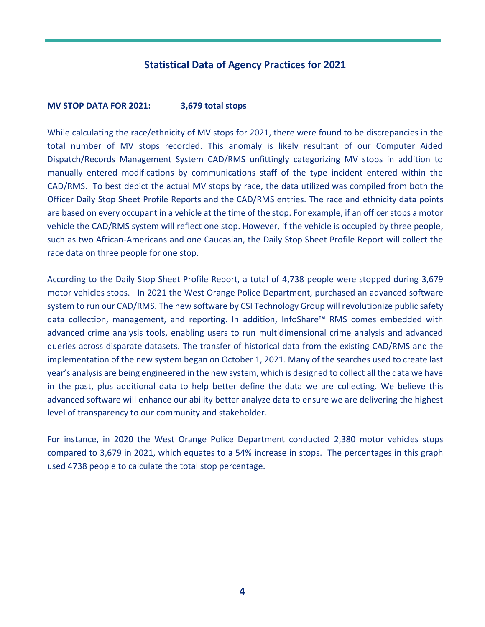### **Statistical Data of Agency Practices for 2021**

#### **MV STOP DATA FOR 2021: 3,679 total stops**

While calculating the race/ethnicity of MV stops for 2021, there were found to be discrepancies in the total number of MV stops recorded. This anomaly is likely resultant of our Computer Aided Dispatch/Records Management System CAD/RMS unfittingly categorizing MV stops in addition to manually entered modifications by communications staff of the type incident entered within the CAD/RMS. To best depict the actual MV stops by race, the data utilized was compiled from both the Officer Daily Stop Sheet Profile Reports and the CAD/RMS entries. The race and ethnicity data points are based on every occupant in a vehicle at the time of the stop. For example, if an officer stops a motor vehicle the CAD/RMS system will reflect one stop. However, if the vehicle is occupied by three people, such as two African-Americans and one Caucasian, the Daily Stop Sheet Profile Report will collect the race data on three people for one stop.

According to the Daily Stop Sheet Profile Report, a total of 4,738 people were stopped during 3,679 motor vehicles stops. In 2021 the West Orange Police Department, purchased an advanced software system to run our CAD/RMS. The new software by CSI Technology Group will revolutionize public safety data collection, management, and reporting. In addition, InfoShare™ RMS comes embedded with advanced crime analysis tools, enabling users to run multidimensional crime analysis and advanced queries across disparate datasets. The transfer of historical data from the existing CAD/RMS and the implementation of the new system began on October 1, 2021. Many of the searches used to create last year's analysis are being engineered in the new system, which is designed to collect all the data we have in the past, plus additional data to help better define the data we are collecting. We believe this advanced software will enhance our ability better analyze data to ensure we are delivering the highest level of transparency to our community and stakeholder.

For instance, in 2020 the West Orange Police Department conducted 2,380 motor vehicles stops compared to 3,679 in 2021, which equates to a 54% increase in stops. The percentages in this graph used 4738 people to calculate the total stop percentage.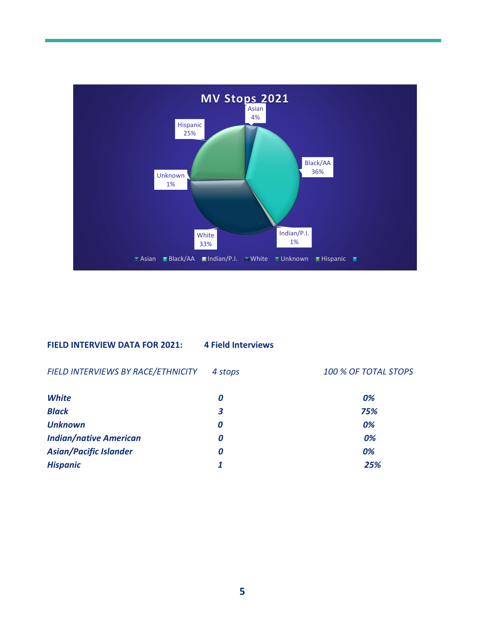

#### **FIELD INTERVIEW DATA FOR 2021: 4 Field Interviews**

*FIELD INTERVIEWS BY RACE/ETHNICITY 4 stops 100 % OF TOTAL STOPS* 

*White 0 0% Black 3 75% Unknown 0 0%* **Indian/native American 0** *Asian/Pacific Islander 0 0% Hispanic 1 25%*

| 0%  |
|-----|
| 75% |
| 0%  |
| 0%  |
| 0%  |
| 25% |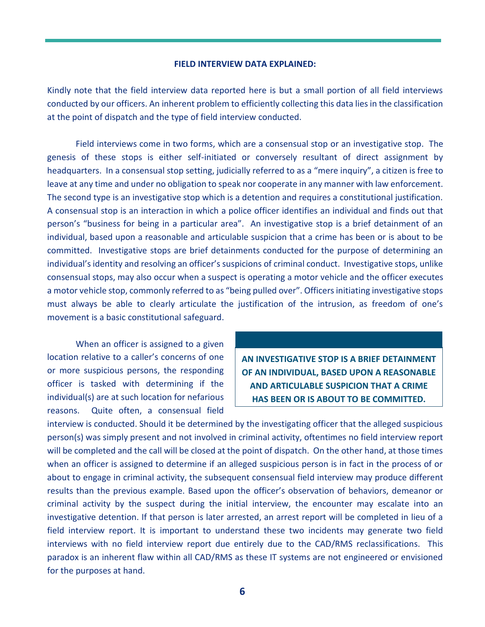#### **FIELD INTERVIEW DATA EXPLAINED:**

Kindly note that the field interview data reported here is but a small portion of all field interviews conducted by our officers. An inherent problem to efficiently collecting this data lies in the classification at the point of dispatch and the type of field interview conducted.

Field interviews come in two forms, which are a consensual stop or an investigative stop. The genesis of these stops is either self-initiated or conversely resultant of direct assignment by headquarters. In a consensual stop setting, judicially referred to as a "mere inquiry", a citizen is free to leave at any time and under no obligation to speak nor cooperate in any manner with law enforcement. The second type is an investigative stop which is a detention and requires a constitutional justification. A consensual stop is an interaction in which a police officer identifies an individual and finds out that person's "business for being in a particular area". An investigative stop is a brief detainment of an individual, based upon a reasonable and articulable suspicion that a crime has been or is about to be committed. Investigative stops are brief detainments conducted for the purpose of determining an individual's identity and resolving an officer's suspicions of criminal conduct. Investigative stops, unlike consensual stops, may also occur when a suspect is operating a motor vehicle and the officer executes a motor vehicle stop, commonly referred to as "being pulled over". Officers initiating investigative stops must always be able to clearly articulate the justification of the intrusion, as freedom of one's movement is a basic constitutional safeguard.

When an officer is assigned to a given location relative to a caller's concerns of one or more suspicious persons, the responding officer is tasked with determining if the individual(s) are at such location for nefarious reasons. Quite often, a consensual field

**AN INVESTIGATIVE STOP IS A BRIEF DETAINMENT OF AN INDIVIDUAL, BASED UPON A REASONABLE AND ARTICULABLE SUSPICION THAT A CRIME HAS BEEN OR IS ABOUT TO BE COMMITTED.**

interview is conducted. Should it be determined by the investigating officer that the alleged suspicious person(s) was simply present and not involved in criminal activity, oftentimes no field interview report will be completed and the call will be closed at the point of dispatch. On the other hand, at those times when an officer is assigned to determine if an alleged suspicious person is in fact in the process of or about to engage in criminal activity, the subsequent consensual field interview may produce different results than the previous example. Based upon the officer's observation of behaviors, demeanor or criminal activity by the suspect during the initial interview, the encounter may escalate into an investigative detention. If that person is later arrested, an arrest report will be completed in lieu of a field interview report. It is important to understand these two incidents may generate two field interviews with no field interview report due entirely due to the CAD/RMS reclassifications. This paradox is an inherent flaw within all CAD/RMS as these IT systems are not engineered or envisioned for the purposes at hand.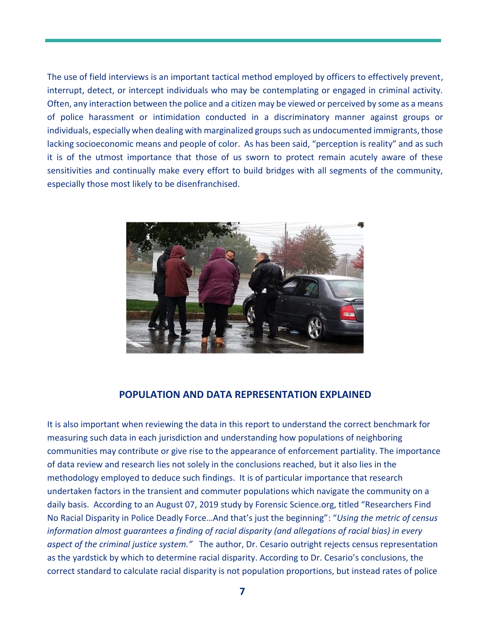The use of field interviews is an important tactical method employed by officers to effectively prevent, interrupt, detect, or intercept individuals who may be contemplating or engaged in criminal activity. Often, any interaction between the police and a citizen may be viewed or perceived by some as a means of police harassment or intimidation conducted in a discriminatory manner against groups or individuals, especially when dealing with marginalized groups such as undocumented immigrants, those lacking socioeconomic means and people of color. As has been said, "perception is reality" and as such it is of the utmost importance that those of us sworn to protect remain acutely aware of these sensitivities and continually make every effort to build bridges with all segments of the community, especially those most likely to be disenfranchised.



#### **POPULATION AND DATA REPRESENTATION EXPLAINED**

It is also important when reviewing the data in this report to understand the correct benchmark for measuring such data in each jurisdiction and understanding how populations of neighboring communities may contribute or give rise to the appearance of enforcement partiality. The importance of data review and research lies not solely in the conclusions reached, but it also lies in the methodology employed to deduce such findings. It is of particular importance that research undertaken factors in the transient and commuter populations which navigate the community on a daily basis. According to an August 07, 2019 study by Forensic Science.org, titled "Researchers Find No Racial Disparity in Police Deadly Force…And that's just the beginning": "*Using the metric of census information almost guarantees a finding of racial disparity (and allegations of racial bias) in every aspect of the criminal justice system."* The author, Dr. Cesario outright rejects census representation as the yardstick by which to determine racial disparity. According to Dr. Cesario's conclusions, the correct standard to calculate racial disparity is not population proportions, but instead rates of police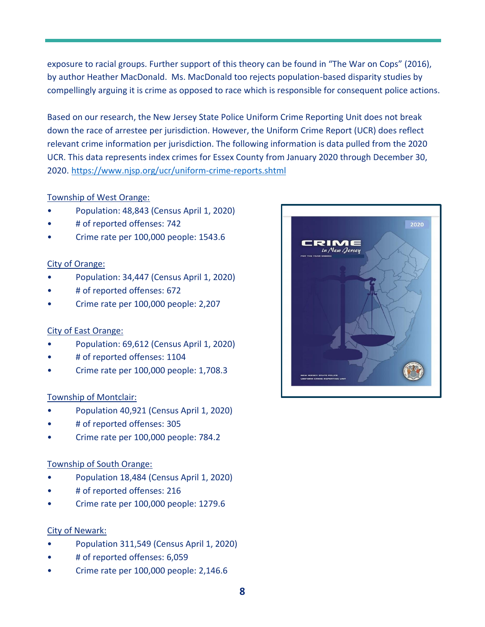exposure to racial groups. Further support of this theory can be found in "The War on Cops" (2016), by author Heather MacDonald. Ms. MacDonald too rejects population-based disparity studies by compellingly arguing it is crime as opposed to race which is responsible for consequent police actions.

Based on our research, the New Jersey State Police Uniform Crime Reporting Unit does not break down the race of arrestee per jurisdiction. However, the Uniform Crime Report (UCR) does reflect relevant crime information per jurisdiction. The following information is data pulled from the 2020 UCR. This data represents index crimes for Essex County from January 2020 through December 30, 2020. <https://www.njsp.org/ucr/uniform-crime-reports.shtml>

#### Township of West Orange:

- Population: 48,843 (Census April 1, 2020)
- # of reported offenses: 742
- Crime rate per 100,000 people: 1543.6

#### City of Orange:

- Population: 34,447 (Census April 1, 2020)
- # of reported offenses: 672
- Crime rate per 100,000 people: 2,207

#### City of East Orange:

- Population: 69,612 (Census April 1, 2020)
- # of reported offenses: 1104
- Crime rate per 100,000 people: 1,708.3

#### Township of Montclair:

- Population 40,921 (Census April 1, 2020)
- # of reported offenses: 305
- Crime rate per 100,000 people: 784.2

#### Township of South Orange:

- Population 18,484 (Census April 1, 2020)
- # of reported offenses: 216
- Crime rate per 100,000 people: 1279.6

#### City of Newark:

- Population 311,549 (Census April 1, 2020)
- # of reported offenses: 6,059
- Crime rate per 100,000 people: 2,146.6

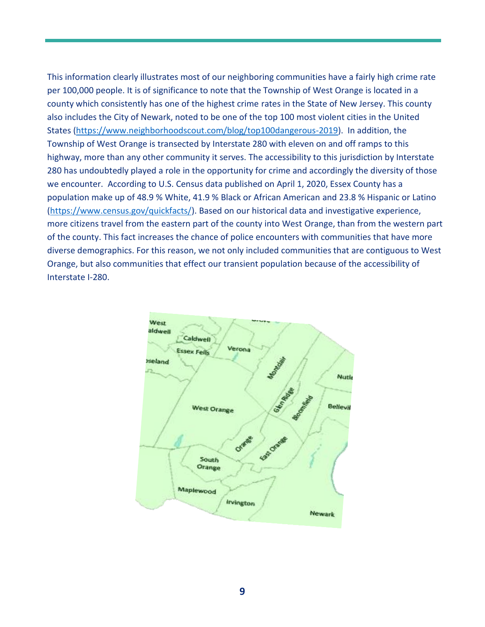This information clearly illustrates most of our neighboring communities have a fairly high crime rate per 100,000 people. It is of significance to note that the Township of West Orange is located in a county which consistently has one of the highest crime rates in the State of New Jersey. This county also includes the City of Newark, noted to be one of the top 100 most violent cities in the United States [\(https://www.neighborhoodscout.com/blog/top100dangerous-2019\)](https://www.neighborhoodscout.com/blog/top100dangerous-2019). In addition, the Township of West Orange is transected by Interstate 280 with eleven on and off ramps to this highway, more than any other community it serves. The accessibility to this jurisdiction by Interstate 280 has undoubtedly played a role in the opportunity for crime and accordingly the diversity of those we encounter. According to U.S. Census data published on April 1, 2020, Essex County has a population make up of 48.9 % White, 41.9 % Black or African American and 23.8 % Hispanic or Latino [\(https://www.census.gov/quickfacts/\)](https://www.census.gov/quickfacts/). Based on our historical data and investigative experience, more citizens travel from the eastern part of the county into West Orange, than from the western part of the county. This fact increases the chance of police encounters with communities that have more diverse demographics. For this reason, we not only included communities that are contiguous to West Orange, but also communities that effect our transient population because of the accessibility of Interstate I-280.

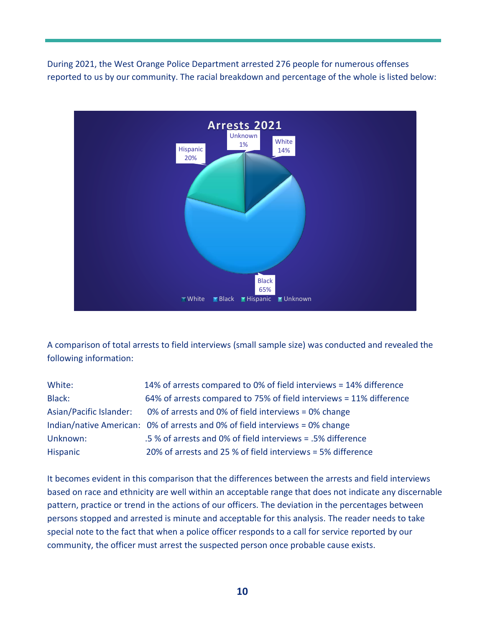During 2021, the West Orange Police Department arrested 276 people for numerous offenses reported to us by our community. The racial breakdown and percentage of the whole is listed below:



A comparison of total arrests to field interviews (small sample size) was conducted and revealed the following information:

| White:                  | 14% of arrests compared to 0% of field interviews = 14% difference           |  |
|-------------------------|------------------------------------------------------------------------------|--|
| Black:                  | 64% of arrests compared to 75% of field interviews = 11% difference          |  |
| Asian/Pacific Islander: | 0% of arrests and 0% of field interviews = 0% change                         |  |
|                         | Indian/native American: 0% of arrests and 0% of field interviews = 0% change |  |
| Unknown:                | .5% of arrests and 0% of field interviews = .5% difference                   |  |
| Hispanic                | 20% of arrests and 25 % of field interviews = 5% difference                  |  |

It becomes evident in this comparison that the differences between the arrests and field interviews based on race and ethnicity are well within an acceptable range that does not indicate any discernable pattern, practice or trend in the actions of our officers. The deviation in the percentages between persons stopped and arrested is minute and acceptable for this analysis. The reader needs to take special note to the fact that when a police officer responds to a call for service reported by our community, the officer must arrest the suspected person once probable cause exists.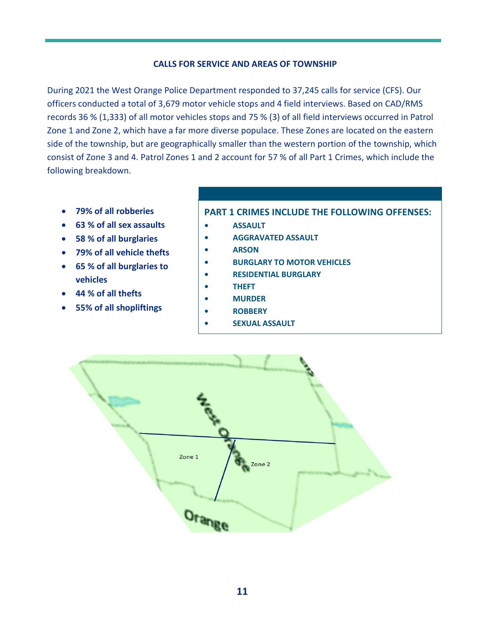#### **CALLS FOR SERVICE AND AREAS OF TOWNSHIP**

During 2021 the West Orange Police Department responded to 37,245 calls for service (CFS). Our officers conducted a total of 3,679 motor vehicle stops and 4 field interviews. Based on CAD/RMS records 36 % (1,333) of all motor vehicles stops and 75 % (3) of all field interviews occurred in Patrol Zone 1 and Zone 2, which have a far more diverse populace. These Zones are located on the eastern side of the township, but are geographically smaller than the western portion of the township, which consist of Zone 3 and 4. Patrol Zones 1 and 2 account for 57 % of all Part 1 Crimes, which include the following breakdown.

- **79% of all robberies**
- **63 % of all sex assaults**
- **58 % of all burglaries**
- **79% of all vehicle thefts**
- **65 % of all burglaries to vehicles**
- **44 % of all thefts**
- **55% of all shopliftings**

#### **PART 1 CRIMES INCLUDE THE FOLLOWING OFFENSES:**

- **• ASSAULT**
- **• AGGRAVATED ASSAULT**
- **• ARSON**
- **• BURGLARY TO MOTOR VEHICLES**
- **• RESIDENTIAL BURGLARY**
- **• THEFT**
- **• MURDER**
- **• ROBBERY**
- **• SEXUAL ASSAULT**

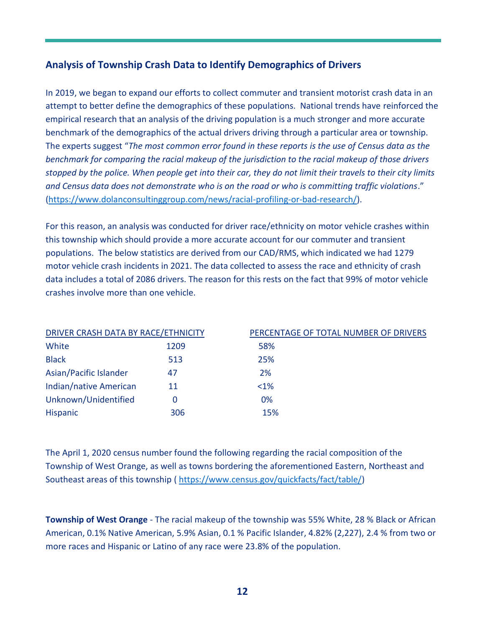# **Analysis of Township Crash Data to Identify Demographics of Drivers**

In 2019, we began to expand our efforts to collect commuter and transient motorist crash data in an attempt to better define the demographics of these populations. National trends have reinforced the empirical research that an analysis of the driving population is a much stronger and more accurate benchmark of the demographics of the actual drivers driving through a particular area or township. The experts suggest "*The most common error found in these reports is the use of Census data as the benchmark for comparing the racial makeup of the jurisdiction to the racial makeup of those drivers stopped by the police. When people get into their car, they do not limit their travels to their city limits and Census data does not demonstrate who is on the road or who is committing traffic violations*." [\(https://www.dolanconsultinggroup.com/news/racial-profiling-or-bad-research/\)](https://www.dolanconsultinggroup.com/news/racial-profiling-or-bad-research/).

For this reason, an analysis was conducted for driver race/ethnicity on motor vehicle crashes within this township which should provide a more accurate account for our commuter and transient populations. The below statistics are derived from our CAD/RMS, which indicated we had 1279 motor vehicle crash incidents in 2021. The data collected to assess the race and ethnicity of crash data includes a total of 2086 drivers. The reason for this rests on the fact that 99% of motor vehicle crashes involve more than one vehicle.

| DRIVER CRASH DATA BY RACE/ETHNICITY |      | PERCENTAGE OF TOTAL NUMBER OF DRIVERS |  |
|-------------------------------------|------|---------------------------------------|--|
| White                               | 1209 | 58%                                   |  |
| <b>Black</b>                        | 513  | 25%                                   |  |
| Asian/Pacific Islander              | 47   | 2%                                    |  |
| Indian/native American              | 11   | $<1\%$                                |  |
| Unknown/Unidentified                |      | 0%                                    |  |
| Hispanic                            | 306  | 15%                                   |  |

The April 1, 2020 census number found the following regarding the racial composition of the Township of West Orange, as well as towns bordering the aforementioned Eastern, Northeast and Southeast areas of this township ( [https://www.census.gov/quickfacts/fact/table/\)](https://www.census.gov/quickfacts/fact/table/)

**Township of West Orange** - The racial makeup of the township was 55% White, 28 % Black or African American, 0.1% Native American, 5.9% Asian, 0.1 % Pacific Islander, 4.82% (2,227), 2.4 % from two or more races and Hispanic or Latino of any race were 23.8% of the population.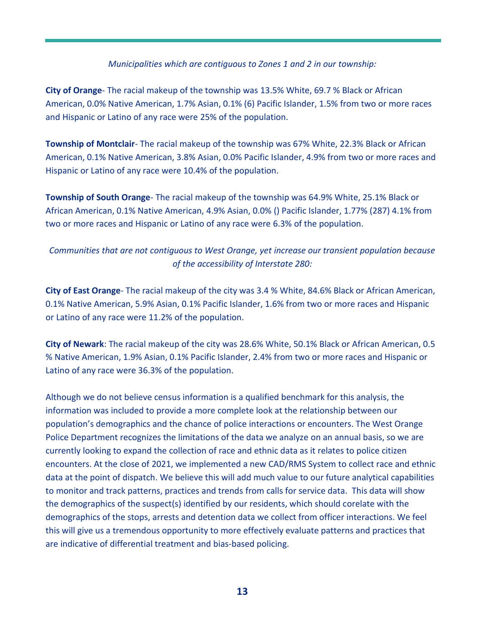#### *Municipalities which are contiguous to Zones 1 and 2 in our township:*

**City of Orange**- The racial makeup of the township was 13.5% White, 69.7 % Black or African American, 0.0% Native American, 1.7% Asian, 0.1% (6) Pacific Islander, 1.5% from two or more races and Hispanic or Latino of any race were 25% of the population.

**Township of Montclair**- The racial makeup of the township was 67% White, 22.3% Black or African American, 0.1% Native American, 3.8% Asian, 0.0% Pacific Islander, 4.9% from two or more races and Hispanic or Latino of any race were 10.4% of the population.

**Township of South Orange**- The racial makeup of the township was 64.9% White, 25.1% Black or African American, 0.1% Native American, 4.9% Asian, 0.0% () Pacific Islander, 1.77% (287) 4.1% from two or more races and Hispanic or Latino of any race were 6.3% of the population.

### *Communities that are not contiguous to West Orange, yet increase our transient population because of the accessibility of Interstate 280:*

**City of East Orange**- The racial makeup of the city was 3.4 % White, 84.6% Black or African American, 0.1% Native American, 5.9% Asian, 0.1% Pacific Islander, 1.6% from two or more races and Hispanic or Latino of any race were 11.2% of the population.

**City of Newark**: The racial makeup of the city was 28.6% White, 50.1% Black or African American, 0.5 % Native American, 1.9% Asian, 0.1% Pacific Islander, 2.4% from two or more races and Hispanic or Latino of any race were 36.3% of the population.

Although we do not believe census information is a qualified benchmark for this analysis, the information was included to provide a more complete look at the relationship between our population's demographics and the chance of police interactions or encounters. The West Orange Police Department recognizes the limitations of the data we analyze on an annual basis, so we are currently looking to expand the collection of race and ethnic data as it relates to police citizen encounters. At the close of 2021, we implemented a new CAD/RMS System to collect race and ethnic data at the point of dispatch. We believe this will add much value to our future analytical capabilities to monitor and track patterns, practices and trends from calls for service data. This data will show the demographics of the suspect(s) identified by our residents, which should corelate with the demographics of the stops, arrests and detention data we collect from officer interactions. We feel this will give us a tremendous opportunity to more effectively evaluate patterns and practices that are indicative of differential treatment and bias-based policing.